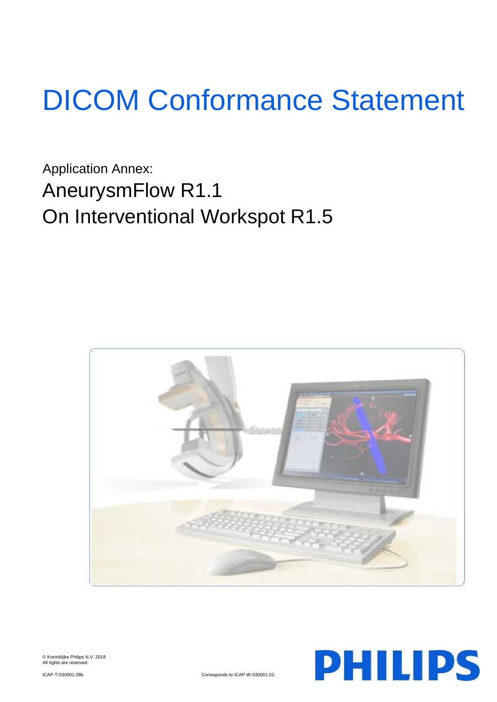# DICOM Conformance Statement

Application Annex: AneurysmFlow R1.1 On Interventional Workspot R1.5





© Koninklijke Philips N.V. 2018 All rights are reserved.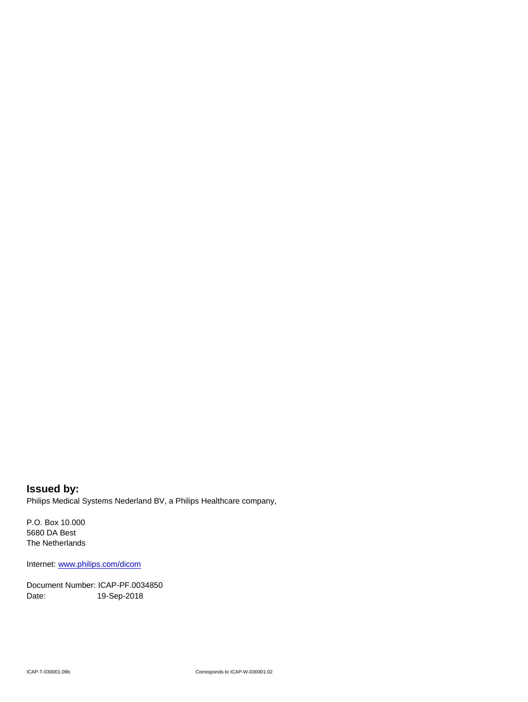**Issued by:** Philips Medical Systems Nederland BV, a Philips Healthcare company,

P.O. Box 10.000 5680 DA Best The Netherlands

Internet[: www.philips.com/dicom](http://www.philips.com/dicom)

Document Number: ICAP-PF.0034850 Date: 19-Sep-2018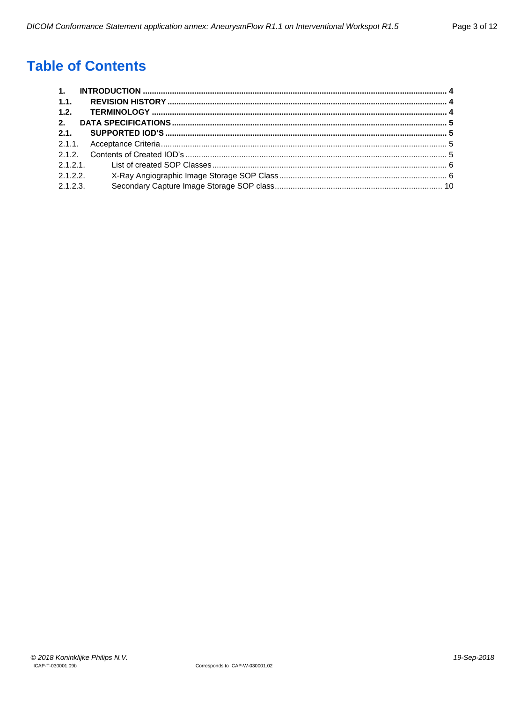# **Table of Contents**

| 1.1.     |  |
|----------|--|
| 1.2.     |  |
| 2.       |  |
| 2.1.     |  |
|          |  |
|          |  |
|          |  |
| 2.1.2.2  |  |
| 2.1.2.3. |  |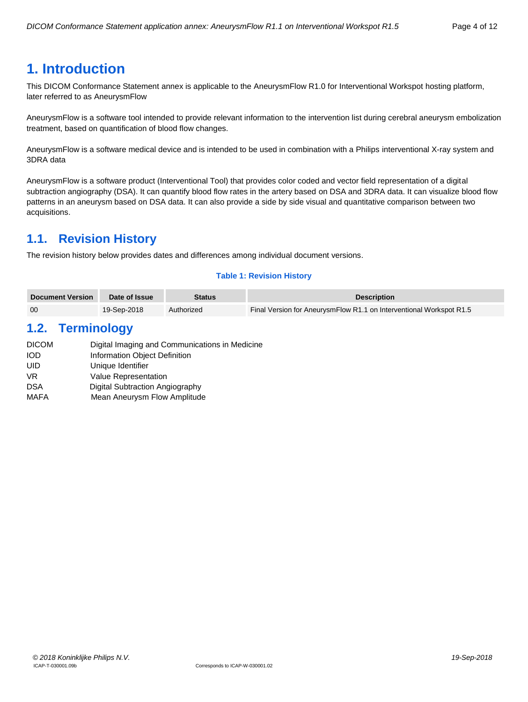# <span id="page-3-0"></span>**1. Introduction**

This DICOM Conformance Statement annex is applicable to the AneurysmFlow R1.0 for Interventional Workspot hosting platform, later referred to as AneurysmFlow

AneurysmFlow is a software tool intended to provide relevant information to the intervention list during cerebral aneurysm embolization treatment, based on quantification of blood flow changes.

AneurysmFlow is a software medical device and is intended to be used in combination with a Philips interventional X-ray system and 3DRA data

AneurysmFlow is a software product (Interventional Tool) that provides color coded and vector field representation of a digital subtraction angiography (DSA). It can quantify blood flow rates in the artery based on DSA and 3DRA data. It can visualize blood flow patterns in an aneurysm based on DSA data. It can also provide a side by side visual and quantitative comparison between two acquisitions.

# <span id="page-3-1"></span>**1.1. Revision History**

The revision history below provides dates and differences among individual document versions.

# **Table 1: Revision History**

| <b>Document Version</b> | Date of Issue | <b>Status</b> | <b>Description</b>                                                  |
|-------------------------|---------------|---------------|---------------------------------------------------------------------|
| 00                      | 19-Sep-2018   | Authorized    | Final Version for AneurysmFlow R1.1 on Interventional Workspot R1.5 |

# <span id="page-3-2"></span>**1.2. Terminology**

| <b>DICOM</b> | Digital Imaging and Communications in Medicine |
|--------------|------------------------------------------------|
| <b>IOD</b>   | Information Object Definition                  |
| UID          | Unique Identifier                              |
| VR.          | Value Representation                           |
| <b>DSA</b>   | Digital Subtraction Angiography                |
| <b>MAFA</b>  | Mean Aneurysm Flow Amplitude                   |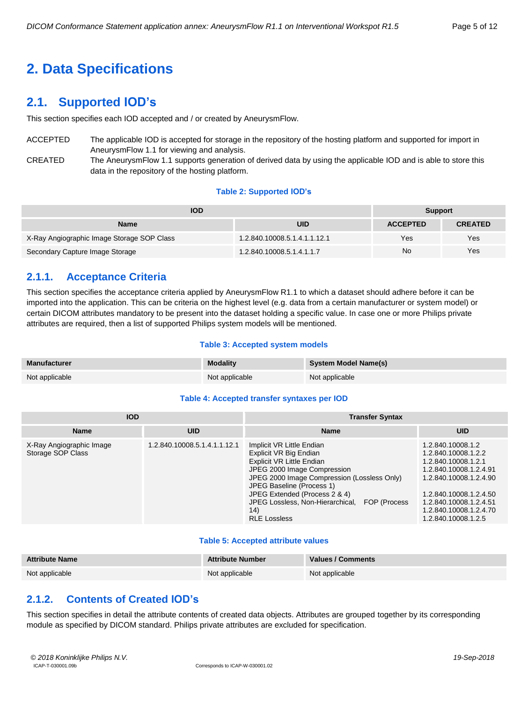# <span id="page-4-0"></span>**2. Data Specifications**

# <span id="page-4-1"></span>**2.1. Supported IOD's**

This section specifies each IOD accepted and / or created by AneurysmFlow.

- ACCEPTED The applicable IOD is accepted for storage in the repository of the hosting platform and supported for import in AneurysmFlow 1.1 for viewing and analysis.
- CREATED The AneurysmFlow 1.1 supports generation of derived data by using the applicable IOD and is able to store this data in the repository of the hosting platform.

#### **Table 2: Supported IOD's**

| <b>IOD</b>                                 |                              | <b>Support</b>  |                |
|--------------------------------------------|------------------------------|-----------------|----------------|
| <b>Name</b>                                | <b>UID</b>                   | <b>ACCEPTED</b> | <b>CREATED</b> |
| X-Ray Angiographic Image Storage SOP Class | 1.2.840.10008.5.1.4.1.1.12.1 | Yes             | Yes            |
| Secondary Capture Image Storage            | 1.2.840.10008.5.1.4.1.1.7    | No              | Yes            |

# <span id="page-4-2"></span>**2.1.1. Acceptance Criteria**

This section specifies the acceptance criteria applied by AneurysmFlow R1.1 to which a dataset should adhere before it can be imported into the application. This can be criteria on the highest level (e.g. data from a certain manufacturer or system model) or certain DICOM attributes mandatory to be present into the dataset holding a specific value. In case one or more Philips private attributes are required, then a list of supported Philips system models will be mentioned.

#### **Table 3: Accepted system models**

| <b>Manufacturer</b> | <b>Modality</b> | <b>System Model Name(s)</b> |
|---------------------|-----------------|-----------------------------|
| Not applicable      | Not applicable  | Not applicable              |

#### **Table 4: Accepted transfer syntaxes per IOD**

| <b>IOD</b>                                    |                              | <b>Transfer Syntax</b>                                                                                                                                                                                                                                                                                       |                                                                                                                                                                                                                          |  |
|-----------------------------------------------|------------------------------|--------------------------------------------------------------------------------------------------------------------------------------------------------------------------------------------------------------------------------------------------------------------------------------------------------------|--------------------------------------------------------------------------------------------------------------------------------------------------------------------------------------------------------------------------|--|
| <b>Name</b>                                   | <b>UID</b>                   | <b>Name</b>                                                                                                                                                                                                                                                                                                  | <b>UID</b>                                                                                                                                                                                                               |  |
| X-Ray Angiographic Image<br>Storage SOP Class | 1.2.840.10008.5.1.4.1.1.12.1 | Implicit VR Little Endian<br>Explicit VR Big Endian<br>Explicit VR Little Endian<br>JPEG 2000 Image Compression<br>JPEG 2000 Image Compression (Lossless Only)<br>JPEG Baseline (Process 1)<br>JPEG Extended (Process 2 & 4)<br>JPEG Lossless, Non-Hierarchical, FOP (Process<br>(14)<br><b>RLE Lossless</b> | 1.2.840.10008.1.2<br>1.2.840.10008.1.2.2<br>1.2.840.10008.1.2.1<br>1.2.840.10008.1.2.4.91<br>1.2.840.10008.1.2.4.90<br>1.2.840.10008.1.2.4.50<br>1.2.840.10008.1.2.4.51<br>1.2.840.10008.1.2.4.70<br>1.2.840.10008.1.2.5 |  |

#### **Table 5: Accepted attribute values**

| <b>Attribute Name</b> | <b>Attribute Number</b> | <b>Values / Comments</b> |
|-----------------------|-------------------------|--------------------------|
| Not applicable        | Not applicable          | Not applicable           |

# <span id="page-4-3"></span>**2.1.2. Contents of Created IOD's**

This section specifies in detail the attribute contents of created data objects. Attributes are grouped together by its corresponding module as specified by DICOM standard. Philips private attributes are excluded for specification.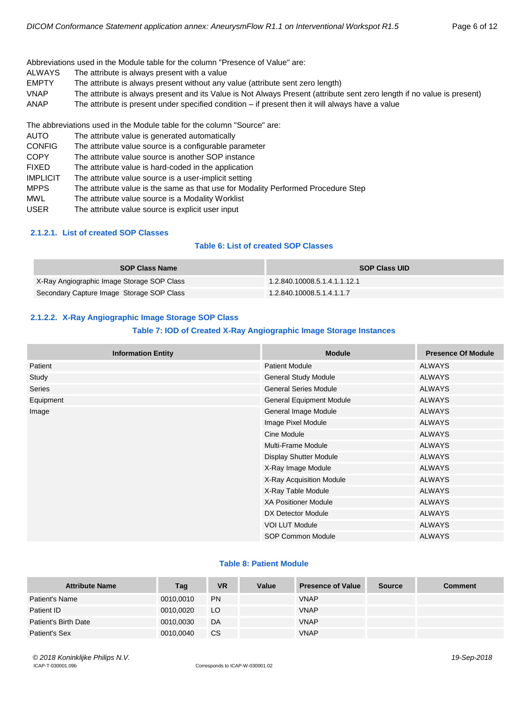Abbreviations used in the Module table for the column "Presence of Value" are:

- ALWAYS The attribute is always present with a value
- EMPTY The attribute is always present without any value (attribute sent zero length)
- VNAP The attribute is always present and its Value is Not Always Present (attribute sent zero length if no value is present)
- ANAP The attribute is present under specified condition if present then it will always have a value

The abbreviations used in the Module table for the column "Source" are:

| <b>AUTO</b>     | The attribute value is generated automatically                                    |
|-----------------|-----------------------------------------------------------------------------------|
| <b>CONFIG</b>   | The attribute value source is a configurable parameter                            |
| <b>COPY</b>     | The attribute value source is another SOP instance                                |
| <b>FIXED</b>    | The attribute value is hard-coded in the application                              |
| <b>IMPLICIT</b> | The attribute value source is a user-implicit setting                             |
| <b>MPPS</b>     | The attribute value is the same as that use for Modality Performed Procedure Step |
| <b>MWL</b>      | The attribute value source is a Modality Worklist                                 |
| <b>USER</b>     | The attribute value source is explicit user input                                 |
|                 |                                                                                   |

#### <span id="page-5-0"></span>**2.1.2.1. List of created SOP Classes**

### **Table 6: List of created SOP Classes**

| <b>SOP Class Name</b>                      | <b>SOP Class UID</b>         |
|--------------------------------------------|------------------------------|
| X-Ray Angiographic Image Storage SOP Class | 1.2.840.10008.5.1.4.1.1.12.1 |
| Secondary Capture Image Storage SOP Class  | 1.2.840.10008.5.1.4.1.1.7    |

## <span id="page-5-1"></span>**2.1.2.2. X-Ray Angiographic Image Storage SOP Class**

# **Table 7: IOD of Created X-Ray Angiographic Image Storage Instances**

| <b>Information Entity</b> | <b>Module</b>                   | <b>Presence Of Module</b> |
|---------------------------|---------------------------------|---------------------------|
| Patient                   | <b>Patient Module</b>           | <b>ALWAYS</b>             |
| Study                     | <b>General Study Module</b>     | <b>ALWAYS</b>             |
| Series                    | <b>General Series Module</b>    | <b>ALWAYS</b>             |
| Equipment                 | <b>General Equipment Module</b> | <b>ALWAYS</b>             |
| Image                     | General Image Module            | <b>ALWAYS</b>             |
|                           | Image Pixel Module              | <b>ALWAYS</b>             |
|                           | Cine Module                     | <b>ALWAYS</b>             |
|                           | <b>Multi-Frame Module</b>       | <b>ALWAYS</b>             |
|                           | Display Shutter Module          | <b>ALWAYS</b>             |
|                           | X-Ray Image Module              | <b>ALWAYS</b>             |
|                           | X-Ray Acquisition Module        | <b>ALWAYS</b>             |
|                           | X-Ray Table Module              | <b>ALWAYS</b>             |
|                           | <b>XA Positioner Module</b>     | <b>ALWAYS</b>             |
|                           | DX Detector Module              | <b>ALWAYS</b>             |
|                           | VOI LUT Module                  | <b>ALWAYS</b>             |
|                           | SOP Common Module               | <b>ALWAYS</b>             |

#### **Table 8: Patient Module**

| <b>Attribute Name</b> | Tag       | <b>VR</b> | Value | <b>Presence of Value</b> | <b>Source</b> | <b>Comment</b> |
|-----------------------|-----------|-----------|-------|--------------------------|---------------|----------------|
| Patient's Name        | 0010.0010 | <b>PN</b> |       | <b>VNAP</b>              |               |                |
| Patient ID            | 0010.0020 | LO        |       | <b>VNAP</b>              |               |                |
| Patient's Birth Date  | 0010.0030 | DA        |       | <b>VNAP</b>              |               |                |
| Patient's Sex         | 0010,0040 | CS.       |       | <b>VNAP</b>              |               |                |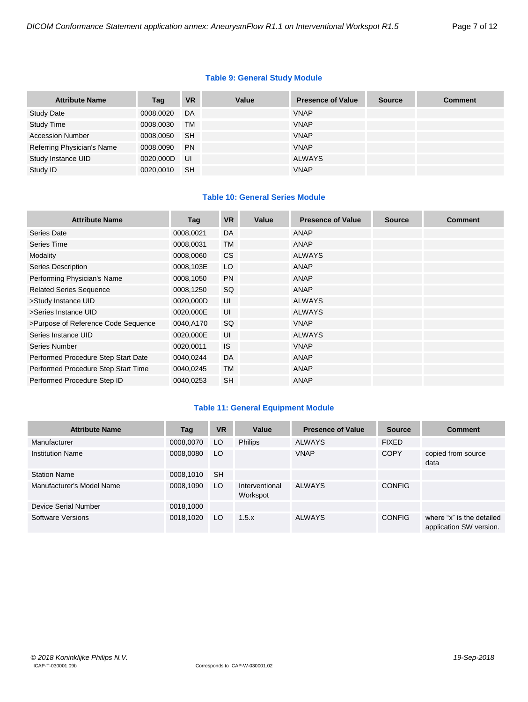# **Table 9: General Study Module**

| <b>Attribute Name</b>      | Tag       | <b>VR</b> | Value | <b>Presence of Value</b> | <b>Source</b> | <b>Comment</b> |
|----------------------------|-----------|-----------|-------|--------------------------|---------------|----------------|
| <b>Study Date</b>          | 0008,0020 | DA        |       | <b>VNAP</b>              |               |                |
| <b>Study Time</b>          | 0008,0030 | <b>TM</b> |       | <b>VNAP</b>              |               |                |
| <b>Accession Number</b>    | 0008,0050 | <b>SH</b> |       | <b>VNAP</b>              |               |                |
| Referring Physician's Name | 0008,0090 | <b>PN</b> |       | <b>VNAP</b>              |               |                |
| Study Instance UID         | 0020,000D | UI        |       | <b>ALWAYS</b>            |               |                |
| Study ID                   | 0020,0010 | <b>SH</b> |       | <b>VNAP</b>              |               |                |

# **Table 10: General Series Module**

| <b>Attribute Name</b>               | Tag       | <b>VR</b> | Value | <b>Presence of Value</b> | <b>Source</b> | <b>Comment</b> |
|-------------------------------------|-----------|-----------|-------|--------------------------|---------------|----------------|
| Series Date                         | 0008,0021 | DA        |       | ANAP                     |               |                |
| Series Time                         | 0008,0031 | <b>TM</b> |       | ANAP                     |               |                |
| Modality                            | 0008,0060 | <b>CS</b> |       | <b>ALWAYS</b>            |               |                |
| <b>Series Description</b>           | 0008,103E | LO        |       | ANAP                     |               |                |
| Performing Physician's Name         | 0008,1050 | <b>PN</b> |       | ANAP                     |               |                |
| <b>Related Series Sequence</b>      | 0008,1250 | SQ        |       | ANAP                     |               |                |
| >Study Instance UID                 | 0020,000D | UI        |       | <b>ALWAYS</b>            |               |                |
| >Series Instance UID                | 0020,000E | UI        |       | <b>ALWAYS</b>            |               |                |
| >Purpose of Reference Code Sequence | 0040,A170 | SQ        |       | <b>VNAP</b>              |               |                |
| Series Instance UID                 | 0020,000E | UI        |       | <b>ALWAYS</b>            |               |                |
| Series Number                       | 0020,0011 | <b>IS</b> |       | <b>VNAP</b>              |               |                |
| Performed Procedure Step Start Date | 0040,0244 | DA        |       | ANAP                     |               |                |
| Performed Procedure Step Start Time | 0040,0245 | TM        |       | ANAP                     |               |                |
| Performed Procedure Step ID         | 0040,0253 | <b>SH</b> |       | ANAP                     |               |                |

# **Table 11: General Equipment Module**

| <b>Attribute Name</b>     | Tag       | <b>VR</b> | Value                      | <b>Presence of Value</b> | <b>Source</b> | <b>Comment</b>                                       |
|---------------------------|-----------|-----------|----------------------------|--------------------------|---------------|------------------------------------------------------|
| Manufacturer              | 0008,0070 | LO        | <b>Philips</b>             | <b>ALWAYS</b>            | <b>FIXED</b>  |                                                      |
| <b>Institution Name</b>   | 0008,0080 | LO        |                            | <b>VNAP</b>              | <b>COPY</b>   | copied from source<br>data                           |
| <b>Station Name</b>       | 0008,1010 | <b>SH</b> |                            |                          |               |                                                      |
| Manufacturer's Model Name | 0008,1090 | LO        | Interventional<br>Workspot | <b>ALWAYS</b>            | <b>CONFIG</b> |                                                      |
| Device Serial Number      | 0018,1000 |           |                            |                          |               |                                                      |
| Software Versions         | 0018,1020 | LO.       | 1.5.x                      | <b>ALWAYS</b>            | <b>CONFIG</b> | where "x" is the detailed<br>application SW version. |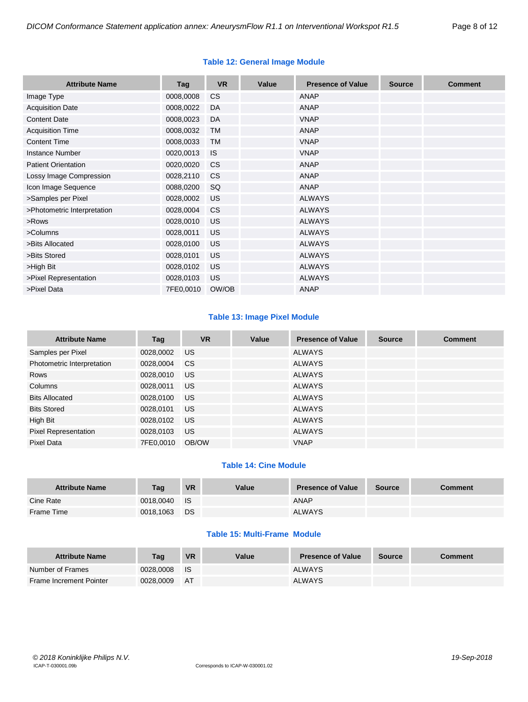| <b>Attribute Name</b>       | Tag       | <b>VR</b>      | Value | <b>Presence of Value</b> | <b>Source</b> | <b>Comment</b> |
|-----------------------------|-----------|----------------|-------|--------------------------|---------------|----------------|
| Image Type                  | 0008,0008 | <b>CS</b>      |       | <b>ANAP</b>              |               |                |
| <b>Acquisition Date</b>     | 0008,0022 | DA             |       | ANAP                     |               |                |
| <b>Content Date</b>         | 0008,0023 | DA             |       | <b>VNAP</b>              |               |                |
| <b>Acquisition Time</b>     | 0008,0032 | <b>TM</b>      |       | ANAP                     |               |                |
| <b>Content Time</b>         | 0008,0033 | <b>TM</b>      |       | <b>VNAP</b>              |               |                |
| <b>Instance Number</b>      | 0020,0013 | <b>IS</b>      |       | <b>VNAP</b>              |               |                |
| <b>Patient Orientation</b>  | 0020,0020 | <b>CS</b>      |       | ANAP                     |               |                |
| Lossy Image Compression     | 0028,2110 | C <sub>S</sub> |       | ANAP                     |               |                |
| Icon Image Sequence         | 0088,0200 | SQ             |       | ANAP                     |               |                |
| >Samples per Pixel          | 0028,0002 | <b>US</b>      |       | <b>ALWAYS</b>            |               |                |
| >Photometric Interpretation | 0028,0004 | <b>CS</b>      |       | <b>ALWAYS</b>            |               |                |
| >Rows                       | 0028,0010 | <b>US</b>      |       | <b>ALWAYS</b>            |               |                |
| >Columns                    | 0028,0011 | <b>US</b>      |       | <b>ALWAYS</b>            |               |                |
| >Bits Allocated             | 0028,0100 | <b>US</b>      |       | <b>ALWAYS</b>            |               |                |
| >Bits Stored                | 0028,0101 | <b>US</b>      |       | <b>ALWAYS</b>            |               |                |
| >High Bit                   | 0028,0102 | <b>US</b>      |       | <b>ALWAYS</b>            |               |                |
| >Pixel Representation       | 0028,0103 | <b>US</b>      |       | <b>ALWAYS</b>            |               |                |
| >Pixel Data                 | 7FE0,0010 | OW/OB          |       | <b>ANAP</b>              |               |                |

# **Table 12: General Image Module**

# **Table 13: Image Pixel Module**

| <b>Attribute Name</b>       | Tag       | <b>VR</b> | Value | <b>Presence of Value</b> | <b>Source</b> | <b>Comment</b> |
|-----------------------------|-----------|-----------|-------|--------------------------|---------------|----------------|
| Samples per Pixel           | 0028,0002 | <b>US</b> |       | <b>ALWAYS</b>            |               |                |
| Photometric Interpretation  | 0028,0004 | <b>CS</b> |       | <b>ALWAYS</b>            |               |                |
| Rows                        | 0028,0010 | US.       |       | <b>ALWAYS</b>            |               |                |
| Columns                     | 0028,0011 | US        |       | <b>ALWAYS</b>            |               |                |
| <b>Bits Allocated</b>       | 0028,0100 | US.       |       | <b>ALWAYS</b>            |               |                |
| <b>Bits Stored</b>          | 0028,0101 | US.       |       | <b>ALWAYS</b>            |               |                |
| High Bit                    | 0028,0102 | US.       |       | <b>ALWAYS</b>            |               |                |
| <b>Pixel Representation</b> | 0028,0103 | <b>US</b> |       | <b>ALWAYS</b>            |               |                |
| Pixel Data                  | 7FE0.0010 | OB/OW     |       | <b>VNAP</b>              |               |                |

# **Table 14: Cine Module**

| <b>Attribute Name</b> | Tag       | <b>VR</b>   | Value | <b>Presence of Value</b> | Source | <b>Comment</b> |
|-----------------------|-----------|-------------|-------|--------------------------|--------|----------------|
| Cine Rate             | 0018.0040 | <b>I</b> IS |       | <b>ANAP</b>              |        |                |
| Frame Time            | 0018,1063 | <b>DS</b>   |       | <b>ALWAYS</b>            |        |                |

# **Table 15: Multi-Frame Module**

| <b>Attribute Name</b>   | Taq       | <b>VR</b> | Value | <b>Presence of Value</b> | <b>Source</b> | Comment |
|-------------------------|-----------|-----------|-------|--------------------------|---------------|---------|
| Number of Frames        | 0028,0008 | ⊟ IS      |       | <b>ALWAYS</b>            |               |         |
| Frame Increment Pointer | 0028,0009 | <b>AT</b> |       | <b>ALWAYS</b>            |               |         |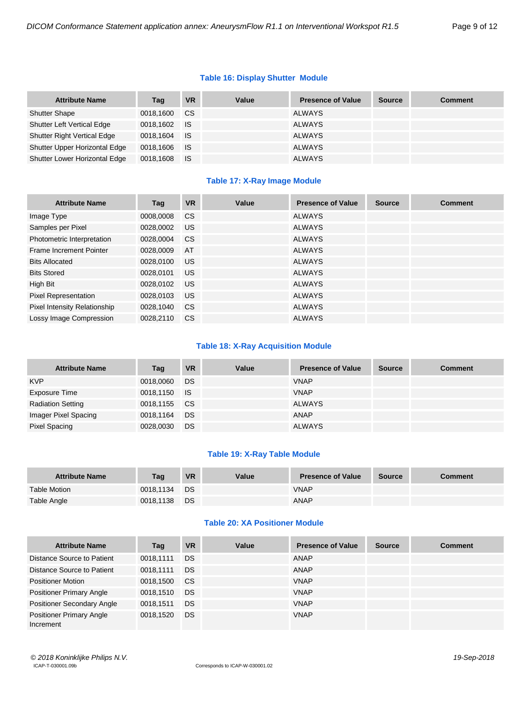# **Table 16: Display Shutter Module**

| <b>Attribute Name</b>              | Tag       | VR        | Value | <b>Presence of Value</b> | <b>Source</b> | <b>Comment</b> |
|------------------------------------|-----------|-----------|-------|--------------------------|---------------|----------------|
| <b>Shutter Shape</b>               | 0018,1600 | CS.       |       | <b>ALWAYS</b>            |               |                |
| Shutter Left Vertical Edge         | 0018,1602 | <b>IS</b> |       | <b>ALWAYS</b>            |               |                |
| <b>Shutter Right Vertical Edge</b> | 0018.1604 | <b>IS</b> |       | <b>ALWAYS</b>            |               |                |
| Shutter Upper Horizontal Edge      | 0018,1606 | ⊟ IS.     |       | <b>ALWAYS</b>            |               |                |
| Shutter Lower Horizontal Edge      | 0018,1608 | ⊟ IS      |       | <b>ALWAYS</b>            |               |                |

# **Table 17: X-Ray Image Module**

| <b>Attribute Name</b>          | Tag       | <b>VR</b>     | Value | <b>Presence of Value</b> | <b>Source</b> | <b>Comment</b> |
|--------------------------------|-----------|---------------|-------|--------------------------|---------------|----------------|
| Image Type                     | 0008.0008 | <b>CS</b>     |       | <b>ALWAYS</b>            |               |                |
| Samples per Pixel              | 0028,0002 | US            |       | <b>ALWAYS</b>            |               |                |
| Photometric Interpretation     | 0028,0004 | <sub>CS</sub> |       | <b>ALWAYS</b>            |               |                |
| <b>Frame Increment Pointer</b> | 0028,0009 | AT            |       | <b>ALWAYS</b>            |               |                |
| <b>Bits Allocated</b>          | 0028,0100 | <b>US</b>     |       | <b>ALWAYS</b>            |               |                |
| <b>Bits Stored</b>             | 0028.0101 | <b>US</b>     |       | <b>ALWAYS</b>            |               |                |
| High Bit                       | 0028,0102 | <b>US</b>     |       | <b>ALWAYS</b>            |               |                |
| <b>Pixel Representation</b>    | 0028,0103 | US.           |       | <b>ALWAYS</b>            |               |                |
| Pixel Intensity Relationship   | 0028,1040 | <b>CS</b>     |       | <b>ALWAYS</b>            |               |                |
| Lossy Image Compression        | 0028.2110 | <b>CS</b>     |       | <b>ALWAYS</b>            |               |                |

## **Table 18: X-Ray Acquisition Module**

| <b>Attribute Name</b>    | Tag          | <b>VR</b> | Value | <b>Presence of Value</b> | <b>Source</b> | <b>Comment</b> |
|--------------------------|--------------|-----------|-------|--------------------------|---------------|----------------|
| <b>KVP</b>               | 0018,0060    | DS        |       | <b>VNAP</b>              |               |                |
| Exposure Time            | 0018,1150 IS |           |       | <b>VNAP</b>              |               |                |
| <b>Radiation Setting</b> | 0018,1155    | CS.       |       | ALWAYS                   |               |                |
| Imager Pixel Spacing     | 0018,1164    | DS.       |       | ANAP                     |               |                |
| <b>Pixel Spacing</b>     | 0028,0030    | <b>DS</b> |       | <b>ALWAYS</b>            |               |                |

## **Table 19: X-Ray Table Module**

| <b>Attribute Name</b> | Tag       | <b>VR</b> | Value | <b>Presence of Value</b> | <b>Source</b> | <b>Comment</b> |
|-----------------------|-----------|-----------|-------|--------------------------|---------------|----------------|
| <b>Table Motion</b>   | 0018.1134 | <b>DS</b> |       | <b>VNAP</b>              |               |                |
| Table Angle           | 0018.1138 | DS        |       | <b>ANAP</b>              |               |                |

# **Table 20: XA Positioner Module**

| <b>Attribute Name</b>                        | Tag       | <b>VR</b>     | Value | <b>Presence of Value</b> | <b>Source</b> | <b>Comment</b> |
|----------------------------------------------|-----------|---------------|-------|--------------------------|---------------|----------------|
| Distance Source to Patient                   | 0018.1111 | <b>DS</b>     |       | ANAP                     |               |                |
| Distance Source to Patient                   | 0018.1111 | <b>DS</b>     |       | ANAP                     |               |                |
| <b>Positioner Motion</b>                     | 0018,1500 | <sub>CS</sub> |       | <b>VNAP</b>              |               |                |
| <b>Positioner Primary Angle</b>              | 0018.1510 | <b>DS</b>     |       | <b>VNAP</b>              |               |                |
| <b>Positioner Secondary Angle</b>            | 0018.1511 | <b>DS</b>     |       | <b>VNAP</b>              |               |                |
| <b>Positioner Primary Angle</b><br>Increment | 0018.1520 | <b>DS</b>     |       | <b>VNAP</b>              |               |                |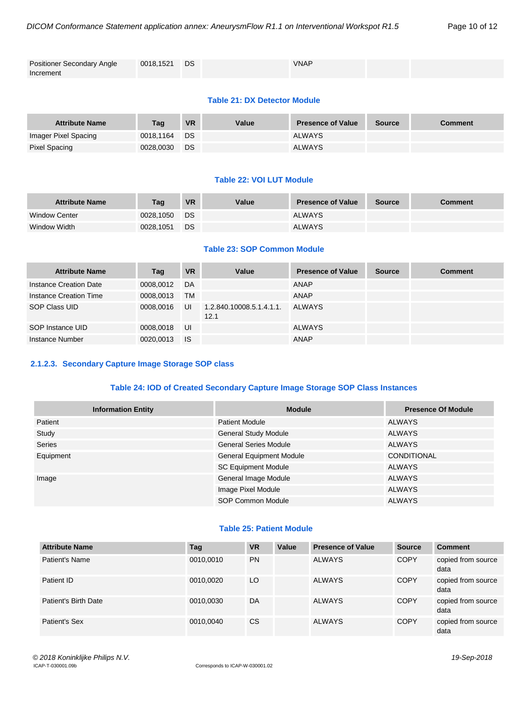| <b>Positioner Secondary Angle</b> | 0018,1521 DS | <b>VNAP</b> |  |
|-----------------------------------|--------------|-------------|--|
| Increment                         |              |             |  |

#### **Table 21: DX Detector Module**

| <b>Attribute Name</b> | Taq       | <b>VR</b> | Value | <b>Presence of Value</b> | <b>Source</b> | <b>Comment</b> |
|-----------------------|-----------|-----------|-------|--------------------------|---------------|----------------|
| Imager Pixel Spacing  | 0018.1164 | DS.       |       | <b>ALWAYS</b>            |               |                |
| Pixel Spacing         | 0028.0030 | <b>DS</b> |       | <b>ALWAYS</b>            |               |                |

#### **Table 22: VOI LUT Module**

| <b>Attribute Name</b> | Tag       | <b>VR</b> | Value | <b>Presence of Value</b> | <b>Source</b> | Comment |
|-----------------------|-----------|-----------|-------|--------------------------|---------------|---------|
| <b>Window Center</b>  | 0028.1050 | DS.       |       | <b>ALWAYS</b>            |               |         |
| Window Width          | 0028.1051 | DS        |       | <b>ALWAYS</b>            |               |         |

# **Table 23: SOP Common Module**

| <b>Attribute Name</b>  | Tag       | <b>VR</b> | Value                            | <b>Presence of Value</b> | <b>Source</b> | <b>Comment</b> |
|------------------------|-----------|-----------|----------------------------------|--------------------------|---------------|----------------|
| Instance Creation Date | 0008.0012 | DA        |                                  | ANAP                     |               |                |
| Instance Creation Time | 0008.0013 | <b>TM</b> |                                  | ANAP                     |               |                |
| SOP Class UID          | 0008.0016 | UI        | 1.2.840.10008.5.1.4.1.1.<br>12.1 | ALWAYS                   |               |                |
| SOP Instance UID       | 0008.0018 | UI        |                                  | <b>ALWAYS</b>            |               |                |
| Instance Number        | 0020.0013 | - IS      |                                  | ANAP                     |               |                |

## <span id="page-9-0"></span>**2.1.2.3. Secondary Capture Image Storage SOP class**

## **Table 24: IOD of Created Secondary Capture Image Storage SOP Class Instances**

| <b>Information Entity</b> | <b>Module</b>                   | <b>Presence Of Module</b> |
|---------------------------|---------------------------------|---------------------------|
| Patient                   | <b>Patient Module</b>           | ALWAYS                    |
| Study                     | <b>General Study Module</b>     | ALWAYS                    |
| Series                    | <b>General Series Module</b>    | <b>ALWAYS</b>             |
| Equipment                 | <b>General Equipment Module</b> | CONDITIONAL               |
|                           | <b>SC Equipment Module</b>      | ALWAYS                    |
| Image                     | General Image Module            | <b>ALWAYS</b>             |
|                           | Image Pixel Module              | <b>ALWAYS</b>             |
|                           | SOP Common Module               | <b>ALWAYS</b>             |

# **Table 25: Patient Module**

| <b>Attribute Name</b> | Tag       | <b>VR</b> | Value | <b>Presence of Value</b> | <b>Source</b> | <b>Comment</b>             |
|-----------------------|-----------|-----------|-------|--------------------------|---------------|----------------------------|
| Patient's Name        | 0010.0010 | <b>PN</b> |       | <b>ALWAYS</b>            | <b>COPY</b>   | copied from source<br>data |
| Patient ID            | 0010.0020 | LO        |       | <b>ALWAYS</b>            | <b>COPY</b>   | copied from source<br>data |
| Patient's Birth Date  | 0010.0030 | DA        |       | <b>ALWAYS</b>            | <b>COPY</b>   | copied from source<br>data |
| Patient's Sex         | 0010.0040 | CS        |       | <b>ALWAYS</b>            | <b>COPY</b>   | copied from source<br>data |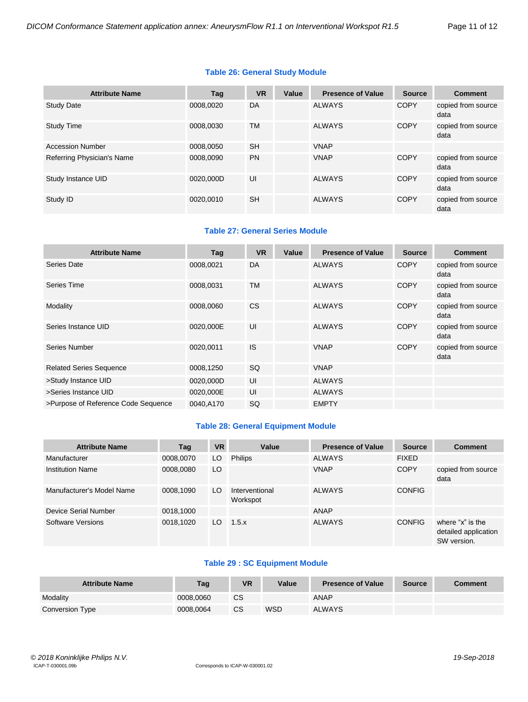# **Table 26: General Study Module**

| <b>Attribute Name</b>      | Tag       | <b>VR</b> | Value | <b>Presence of Value</b> | <b>Source</b> | <b>Comment</b>             |
|----------------------------|-----------|-----------|-------|--------------------------|---------------|----------------------------|
| <b>Study Date</b>          | 0008.0020 | DA        |       | ALWAYS                   | <b>COPY</b>   | copied from source<br>data |
| <b>Study Time</b>          | 0008.0030 | TM        |       | <b>ALWAYS</b>            | <b>COPY</b>   | copied from source<br>data |
| <b>Accession Number</b>    | 0008.0050 | <b>SH</b> |       | <b>VNAP</b>              |               |                            |
| Referring Physician's Name | 0008.0090 | <b>PN</b> |       | <b>VNAP</b>              | <b>COPY</b>   | copied from source<br>data |
| Study Instance UID         | 0020.000D | UI        |       | <b>ALWAYS</b>            | <b>COPY</b>   | copied from source<br>data |
| Study ID                   | 0020.0010 | <b>SH</b> |       | <b>ALWAYS</b>            | <b>COPY</b>   | copied from source<br>data |

# **Table 27: General Series Module**

| <b>Attribute Name</b>               | Tag       | <b>VR</b> | Value | <b>Presence of Value</b> | <b>Source</b> | <b>Comment</b>             |
|-------------------------------------|-----------|-----------|-------|--------------------------|---------------|----------------------------|
| Series Date                         | 0008,0021 | DA        |       | <b>ALWAYS</b>            | <b>COPY</b>   | copied from source<br>data |
| Series Time                         | 0008,0031 | <b>TM</b> |       | <b>ALWAYS</b>            | <b>COPY</b>   | copied from source<br>data |
| Modality                            | 0008,0060 | <b>CS</b> |       | <b>ALWAYS</b>            | <b>COPY</b>   | copied from source<br>data |
| Series Instance UID                 | 0020,000E | UI        |       | <b>ALWAYS</b>            | <b>COPY</b>   | copied from source<br>data |
| Series Number                       | 0020,0011 | <b>IS</b> |       | <b>VNAP</b>              | <b>COPY</b>   | copied from source<br>data |
| <b>Related Series Sequence</b>      | 0008,1250 | <b>SQ</b> |       | <b>VNAP</b>              |               |                            |
| >Study Instance UID                 | 0020,000D | UI        |       | <b>ALWAYS</b>            |               |                            |
| >Series Instance UID                | 0020,000E | UI        |       | <b>ALWAYS</b>            |               |                            |
| >Purpose of Reference Code Sequence | 0040.A170 | SQ        |       | <b>EMPTY</b>             |               |                            |

# **Table 28: General Equipment Module**

| <b>Attribute Name</b>     | Tag       | <b>VR</b> | Value                      | <b>Presence of Value</b> | <b>Source</b> | <b>Comment</b>                                          |
|---------------------------|-----------|-----------|----------------------------|--------------------------|---------------|---------------------------------------------------------|
| Manufacturer              | 0008,0070 | LO.       | <b>Philips</b>             | <b>ALWAYS</b>            | <b>FIXED</b>  |                                                         |
| <b>Institution Name</b>   | 0008,0080 | LO        |                            | <b>VNAP</b>              | <b>COPY</b>   | copied from source<br>data                              |
| Manufacturer's Model Name | 0008,1090 | LO.       | Interventional<br>Workspot | <b>ALWAYS</b>            | <b>CONFIG</b> |                                                         |
| Device Serial Number      | 0018,1000 |           |                            | <b>ANAP</b>              |               |                                                         |
| Software Versions         | 0018,1020 | LO.       | 1.5.x                      | <b>ALWAYS</b>            | <b>CONFIG</b> | where "x" is the<br>detailed application<br>SW version. |

# **Table 29 : SC Equipment Module**

| <b>Attribute Name</b> | Taq       | VR | Value      | <b>Presence of Value</b> | Source | <b>Comment</b> |
|-----------------------|-----------|----|------------|--------------------------|--------|----------------|
| Modality              | 0008.0060 | CS |            | ANAP                     |        |                |
| Conversion Type       | 0008,0064 | CS | <b>WSD</b> | <b>ALWAYS</b>            |        |                |